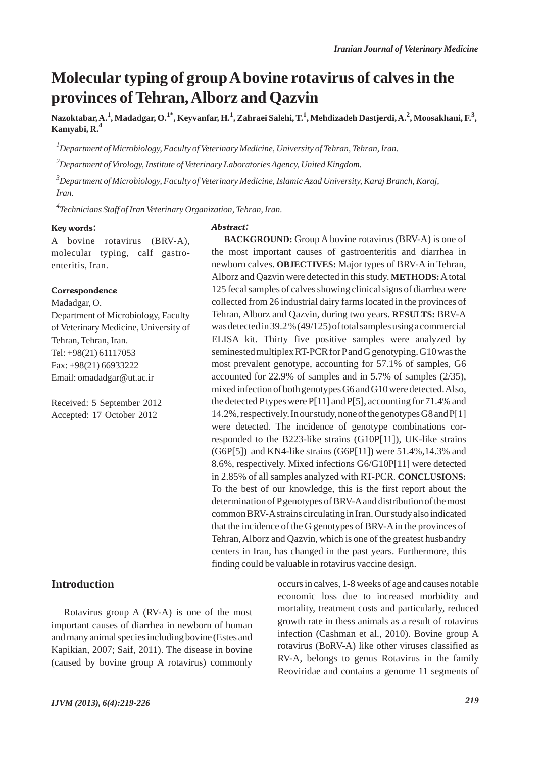## **Molecular typing of group Abovine rotavirus of calves in the provinces of Tehran, Alborz and Qazvin**

**Nazoktabar, A.<sup>1</sup> , Madadgar, O.1\*, Keyvanfar, H.1 , Zahraei Salehi, T.1 , Mehdizadeh Dastjerdi, A.2 , Moosakhani, F.<sup>3</sup> , Kamyabi, R.<sup>4</sup>**

*1 Department of Microbiology, Faculty of Veterinary Medicine, University of Tehran, Tehran, Iran.*

*2 Department of Virology, Institute of Veterinary Laboratories Agency, United Kingdom.*

*3 Department of Microbiology, Faculty of Veterinary Medicine, Islamic Azad University, Karaj Branch, Karaj, Iran.*

*4 Technicians Staff of Iran Veterinary Organization, Tehran, Iran.*

#### Key words:

#### Abstract:

A bovine rotavirus (BRV-A), molecular typing, calf gastroenteritis, Iran.

#### **Correspondence**

Madadgar, O. Department of Microbiology, Faculty of Veterinary Medicine, University of Tehran, Tehran, Iran. Tel: +98(21) 61117053 Fax: +98(21) 66933222 Email: omadadgar@ut.ac.ir

Received: 5 September 2012 Accepted: 17 October 2012

#### **Introduction**

Rotavirus group A (RV-A) is one of the most important causes of diarrhea in newborn of human and many animal species including bovine (Estes and Kapikian, 2007; Saif, 2011). The disease in bovine (caused by bovine group A rotavirus) commonly

**BACKGROUND:** Group A bovine rotavirus (BRV-A) is one of the most important causes of gastroenteritis and diarrhea in newborn calves. **OBJECTIVES:** Major types of BRV-A in Tehran, Alborz and Qazvin were detected in this study. **METHODS:**Atotal 125 fecal samples of calves showing clinical signs of diarrhea were collected from 26 industrial dairy farms located in the provinces of Tehran, Alborz and Qazvin, during two years. **RESULTS:** BRV-A was detected in 39.2 % (49/125) of total samples using a commercial ELISA kit. Thirty five positive samples were analyzed by seminested multiplex RT-PCR for Pand G genotyping. G10 was the most prevalent genotype, accounting for 57.1% of samples, G6 accounted for 22.9% of samples and in 5.7% of samples (2/35), mixed infection of both genotypes G6 and G10 were detected. Also, the detected Ptypes were P[11] and P[5], accounting for 71.4% and 14.2%, respectively. In our study, none of the genotypes G8 and P[1] were detected. The incidence of genotype combinations corresponded to the B223-like strains (G10P[11]), UK-like strains  $(G6P[5])$  and KN4-like strains  $(G6P[11])$  were 51.4%,14.3% and 8.6%, respectively. Mixed infections G6/G10P[11] were detected in 2.85% of all samples analyzed with RT-PCR. **CONCLUSIONS:** To the best of our knowledge, this is the first report about the determination of Pgenotypes of BRV-Aand distribution of the most common BRV-Astrains circulating in Iran. Our study also indicated that the incidence of the G genotypes of BRV-A in the provinces of Tehran, Alborz and Qazvin, which is one of the greatest husbandry centers in Iran, has changed in the past years. Furthermore, this finding could be valuable in rotavirus vaccine design.

> occurs in calves, 1-8 weeks of age and causes notable economic loss due to increased morbidity and mortality, treatment costs and particularly, reduced growth rate in thess animals as a result of rotavirus infection (Cashman et al., 2010). Bovine group A rotavirus (BoRV-A) like other viruses classified as RV-A, belongs to genus Rotavirus in the family Reoviridae and contains a genome 11 segments of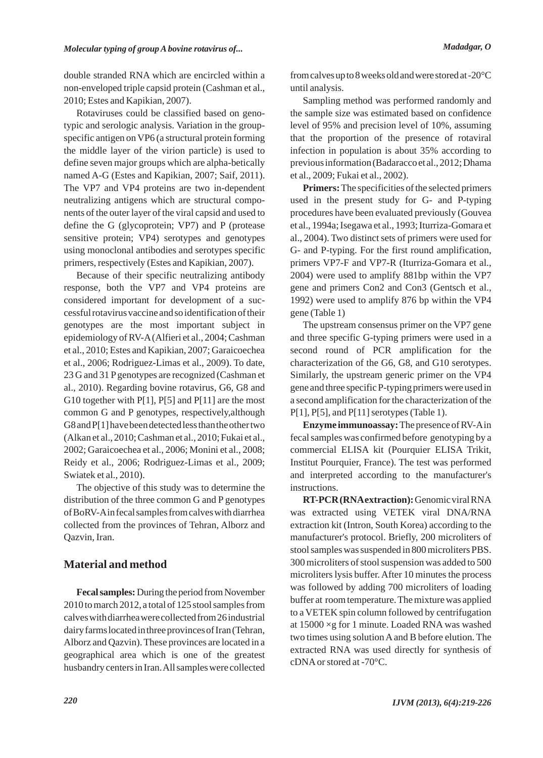double stranded RNA which are encircled within a non-enveloped triple capsid protein (Cashman et al., 2010; Estes and Kapikian, 2007).

Rotaviruses could be classified based on genotypic and serologic analysis. Variation in the groupspecific antigen on VP6 (a structural protein forming the middle layer of the virion particle) is used to define seven major groups which are alpha-betically named A-G (Estes and Kapikian, 2007; Saif, 2011). The VP7 and VP4 proteins are two in-dependent neutralizing antigens which are structural components of the outer layer of the viral capsid and used to define the G (glycoprotein; VP7) and P (protease sensitive protein; VP4) serotypes and genotypes using monoclonal antibodies and serotypes specific primers, respectively (Estes and Kapikian, 2007).

Because of their specific neutralizing antibody response, both the VP7 and VP4 proteins are considered important for development of a successful rotavirus vaccine and so identification of their genotypes are the most important subject in epidemiology of RV-A(Alfieri et al., 2004; Cashman et al., 2010; Estes and Kapikian, 2007; Garaicoechea et al., 2006; Rodriguez-Limas et al., 2009). To date, 23 G and 31 Pgenotypes are recognized (Cashman et al., 2010). Regarding bovine rotavirus, G6, G8 and G10 together with  $P[1]$ ,  $P[5]$  and  $P[11]$  are the most common G and P genotypes, respectively,although G8 and P[1] have been detected less than the other two (Alkan et al., 2010; Cashman et al., 2010; Fukai et al., 2002; Garaicoechea et al., 2006; Monini et al., 2008; Reidy et al., 2006; Rodriguez-Limas et al., 2009; Swiatek et al., 2010).

The objective of this study was to determine the distribution of the three common G and P genotypes of BoRV-Ain fecal samples from calves with diarrhea collected from the provinces of Tehran, Alborz and Qazvin, Iran.

## **Material and method**

**Fecal samples:**During the period from November 2010 to march 2012, a total of 125 stool samples from calves with diarrhea were collected from 26 industrial dairy farms located in three provinces of Iran (Tehran, Alborz and Qazvin). These provinces are located in a geographical area which is one of the greatest husbandry centers in Iran. All samples were collected from calves up to 8 weeks old and were stored at -20°C until analysis.

Sampling method was performed randomly and the sample size was estimated based on confidence level of 95% and precision level of 10%, assuming that the proportion of the presence of rotaviral infection in population is about 35% according to previous information (Badaracco et al., 2012; Dhama et al., 2009; Fukai et al., 2002).

**Primers:**The specificities of the selected primers used in the present study for G- and P-typing procedures have been evaluated previously (Gouvea et al., 1994a; Isegawa et al., 1993; Iturriza-Gomara et al., 2004). Two distinct sets of primers were used for G- and P-typing. For the first round amplification, primers VP7-F and VP7-R (Iturriza-Gomara et al., 2004) were used to amplify 881bp within the VP7 gene and primers Con2 and Con3 (Gentsch et al., 1992) were used to amplify 876 bp within the VP4 gene (Table 1)

The upstream consensus primer on the VP7 gene and three specific G-typing primers were used in a second round of PCR amplification for the characterization of the G6, G8, and G10 serotypes. Similarly, the upstream generic primer on the VP4 gene and three specific P-typing primers were used in a second amplification for the characterization of the P[1], P[5], and P[11] serotypes (Table 1).

**Enzyme immunoassay:** The presence of RV-Ain fecal samples was confirmed before genotyping by a commercial ELISA kit (Pourquier ELISA Trikit, Institut Pourquier, France). The test was performed and interpreted according to the manufacturer's instructions.

**RT-PCR (RNAextraction):**Genomic viral RNA was extracted using VETEK viral DNA/RNA extraction kit (Intron, South Korea) according to the manufacturer's protocol. Briefly, 200 microliters of stool samples was suspended in 800 microliters PBS. 300 microliters of stool suspension was added to 500 microliters lysis buffer. After 10 minutes the process was followed by adding 700 microliters of loading buffer at room temperature. The mixture was applied to a VETEK spin column followed by centrifugation at 15000 ×g for 1 minute. Loaded RNA was washed two times using solution A and B before elution. The extracted RNA was used directly for synthesis of cDNAor stored at -70°C.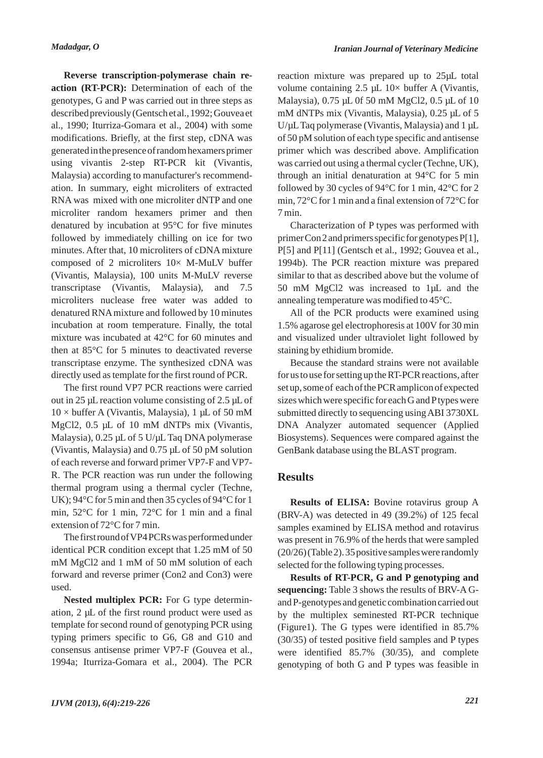**Reverse transcription-polymerase chain reaction (RT-PCR):** Determination of each of the genotypes, G and P was carried out in three steps as described previously (Gentsch et al., 1992; Gouvea et al., 1990; Iturriza-Gomara et al., 2004) with some modifications. Briefly, at the first step, cDNA was generated in the presence of random hexamers primer using vivantis 2-step RT-PCR kit (Vivantis, Malaysia) according to manufacturer's recommendation. In summary, eight microliters of extracted RNA was mixed with one microliter dNTP and one microliter random hexamers primer and then denatured by incubation at 95°C for five minutes followed by immediately chilling on ice for two minutes. After that, 10 microliters of cDNA mixture composed of 2 microliters  $10\times$  M-MuLV buffer (Vivantis, Malaysia), 100 units M-MuLV reverse transcriptase (Vivantis, Malaysia), and 7.5 microliters nuclease free water was added to denatured RNAmixture and followed by 10 minutes incubation at room temperature. Finally, the total mixture was incubated at 42°C for 60 minutes and then at 85°C for 5 minutes to deactivated reverse transcriptase enzyme. The synthesized cDNA was directly used as template for the first round of PCR.

The first round VP7 PCR reactions were carried out in 25 µL reaction volume consisting of 2.5 µL of  $10 \times$  buffer A (Vivantis, Malaysia), 1 µL of 50 mM MgCl2, 0.5 µL of 10 mM dNTPs mix (Vivantis, Malaysia), 0.25 µL of 5 U/µL Taq DNA polymerase (Vivantis, Malaysia) and 0.75 µL of 50 pM solution of each reverse and forward primer VP7-F and VP7- R. The PCR reaction was run under the following thermal program using a thermal cycler (Techne, UK); 94°C for 5 min and then 35 cycles of 94°C for 1 min, 52°C for 1 min, 72°C for 1 min and a final extension of 72°C for 7 min.

The first round of VP4 PCRs was performed under identical PCR condition except that 1.25 mM of 50 mM MgCl2 and 1 mM of 50 mM solution of each forward and reverse primer (Con2 and Con3) were used.

**Nested multiplex PCR:** For G type determination, 2 µL of the first round product were used as template for second round of genotyping PCR using typing primers specific to G6, G8 and G10 and consensus antisense primer VP7-F (Gouvea et al., 1994a; Iturriza-Gomara et al., 2004). The PCR reaction mixture was prepared up to 25µL total volume containing 2.5  $\mu$ L 10× buffer A (Vivantis, Malaysia), 0.75 µL 0f 50 mM MgCl2, 0.5 µL of 10 mM dNTPs mix (Vivantis, Malaysia), 0.25 µL of 5  $U/\mu$ L Taq polymerase (Vivantis, Malaysia) and 1  $\mu$ L of 50 pM solution of each type specific and antisense primer which was described above. Amplification was carried out using a thermal cycler (Techne, UK), through an initial denaturation at 94°C for 5 min followed by 30 cycles of 94°C for 1 min, 42°C for 2 min, 72°C for 1 min and a final extension of 72°C for 7 min.

Characterization of P types was performed with primer Con 2 and primers specific for genotypes P[1], P[5] and P[11] (Gentsch et al., 1992; Gouvea et al., 1994b). The PCR reaction mixture was prepared similar to that as described above but the volume of 50 mM MgCl2 was increased to 1µL and the annealing temperature was modified to 45°C.

All of the PCR products were examined using 1.5% agarose gel electrophoresis at 100V for 30 min and visualized under ultraviolet light followed by staining by ethidium bromide.

Because the standard strains were not available for us to use for setting up the RT-PCR reactions, after set up, some of each of the PCR amplicon of expected sizes which were specific for each G and Ptypes were submitted directly to sequencing using ABI 3730XL DNA Analyzer automated sequencer (Applied Biosystems). Sequences were compared against the GenBank database using the BLAST program.

## **Results**

**Results of ELISA:** Bovine rotavirus group A (BRV-A) was detected in 49 (39.2%) of 125 fecal samples examined by ELISA method and rotavirus was present in 76.9% of the herds that were sampled (20/26) (Table 2). 35 positive samples were randomly selected for the following typing processes.

**Results of RT-PCR, G and P genotyping and sequencing:** Table 3 shows the results of BRV-A Gand P-genotypes and genetic combination carried out by the multiplex seminested RT-PCR technique (Figure1). The G types were identified in 85.7% (30/35) of tested positive field samples and P types were identified 85.7% (30/35), and complete genotyping of both G and P types was feasible in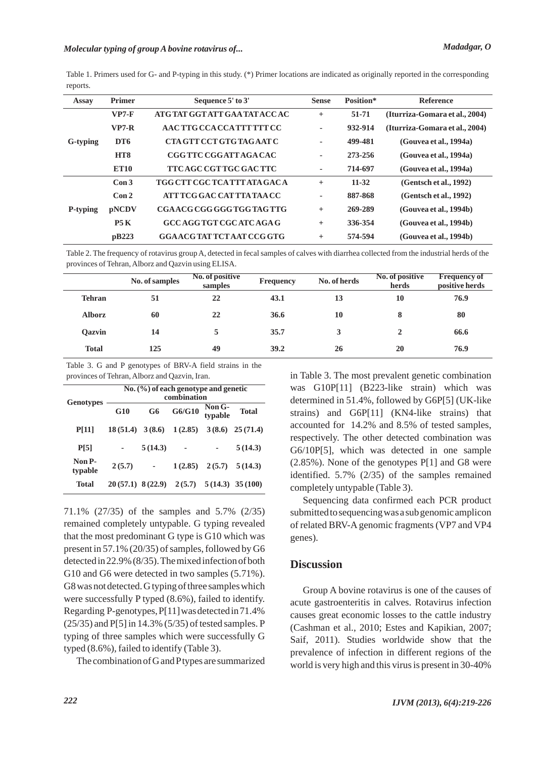## *Molecular typing of group A bovine rotavirus of... Madadgar, O*

| Assay    | <b>Primer</b>    | Sequence 5' to 3'                 | <b>Sense</b> | Position* | <b>Reference</b>               |  |
|----------|------------------|-----------------------------------|--------------|-----------|--------------------------------|--|
| G-typing | $VP7-F$          | ATG TAT GGT ATT GAA TAT ACCAC     | $^{+}$       | 51-71     | (Iturriza-Gomara et al., 2004) |  |
|          | $VP7-R$          | AAC TTG CCA CCA TTT TTT CC        | ٠            | 932-914   | (Iturriza-Gomara et al., 2004) |  |
|          | DT <sub>6</sub>  | CTA GTT CCT GTG TAGAAT C          | ٠            | 499-481   | (Gouvea et al., 1994a)         |  |
|          | HT <sub>8</sub>  | CGG TTC CGG ATT AGA CAC           | ٠            | 273-256   | (Gouvea et al., 1994a)         |  |
|          | <b>ET10</b>      | TTC AGC CGT TGC GAC TTC           | ٠            | 714-697   | (Gouvea et al., 1994a)         |  |
| P-typing | Con3             | TGG CTT CGC TCA TTT ATA GACA      | $^{+}$       | $11 - 32$ | (Gentsch et al., 1992)         |  |
|          | Con <sub>2</sub> | ATT TCG GAC CAT TTA TAA CC        | ٠            | 887-868   | (Gentsch et al., 1992)         |  |
|          | <b>pNCDV</b>     | CGA ACG CGG GGG TGG TAG TTG       | $+$          | 269-289   | (Gouvea et al., 1994b)         |  |
|          | P5K              | GCC AGG TGT CGC ATC AGA G         | $^{+}$       | 336-354   | (Gouvea et al., 1994b)         |  |
|          | pB223            | <b>GGAACG TAT TCT AAT CCG GTG</b> | $^{+}$       | 574-594   | (Gouvea et al., 1994b)         |  |

Table 1. Primers used for G- and P-typing in this study. (\*) Primer locations are indicated as originally reported in the corresponding reports.

Table 2. The frequency of rotavirus group A, detected in fecal samples of calves with diarrhea collected from the industrial herds of the provinces of Tehran, Alborz and Qazvin using ELISA.

|               | No. of samples | No. of positive<br>samples | Frequency | No. of herds | No. of positive<br>herds | <b>Frequency of</b><br>positive herds |
|---------------|----------------|----------------------------|-----------|--------------|--------------------------|---------------------------------------|
| <b>Tehran</b> | 51             | 22                         | 43.1      | 13           | 10                       | 76.9                                  |
| <b>Alborz</b> | 60             | 22                         | 36.6      | 10           | 8                        | 80                                    |
| <b>Oazvin</b> | 14             |                            | 35.7      |              |                          | 66.6                                  |
| <b>Total</b>  | 125            | 49                         | 39.2      | 26           | 20                       | 76.9                                  |

Table 3. G and P genotypes of BRV-A field strains in the provinces of Tehran, Alborz and Qazvin, Iran.

|                   | No. $(\% )$ of each genotype and genetic<br>combination |                |         |                   |                    |  |  |
|-------------------|---------------------------------------------------------|----------------|---------|-------------------|--------------------|--|--|
| <b>Genotypes</b>  | G10                                                     | G <sub>6</sub> | G6/G10  | Non G-<br>typable | <b>Total</b>       |  |  |
| <b>P[11]</b>      | $18(51.4)$ 3(8.6)                                       |                | 1(2.85) | 3(8.6)            | 25(71.4)           |  |  |
| P[5]              |                                                         | 5(14.3)        |         |                   | 5(14.3)            |  |  |
| Non P-<br>typable | 2(5.7)                                                  |                | 1(2.85) | 2(5.7)            | 5(14.3)            |  |  |
| <b>Total</b>      | $20(57.1)$ 8(22.9)                                      |                | 2(5.7)  |                   | $5(14.3)$ 35 (100) |  |  |

71.1% (27/35) of the samples and 5.7% (2/35) remained completely untypable. G typing revealed that the most predominant G type is G10 which was present in 57.1% (20/35) of samples, followed by G6 detected in 22.9% (8/35). The mixed infection of both G10 and G6 were detected in two samples (5.71%). G8 was not detected. G typing of three samples which were successfully P typed (8.6%), failed to identify. Regarding P-genotypes, P[11] was detected in 71.4% (25/35) and P[5] in 14.3% (5/35) of tested samples. P typing of three samples which were successfully G typed (8.6%), failed to identify (Table 3).

The combination of G and Ptypes are summarized

in Table 3. The most prevalent genetic combination was G10P[11] (B223-like strain) which was determined in 51.4%, followed by G6P[5] (UK-like strains) and G6P[11] (KN4-like strains) that accounted for 14.2% and 8.5% of tested samples, respectively. The other detected combination was G6/10P[5], which was detected in one sample (2.85%). None of the genotypes P[1] and G8 were identified. 5.7% (2/35) of the samples remained completely untypable (Table 3).

Sequencing data confirmed each PCR product submitted to sequencing was a sub genomic amplicon of related BRV-A genomic fragments (VP7 and VP4 genes).

## **Discussion**

Group A bovine rotavirus is one of the causes of acute gastroenteritis in calves. Rotavirus infection causes great economic losses to the cattle industry (Cashman et al., 2010; Estes and Kapikian, 2007; Saif, 2011). Studies worldwide show that the prevalence of infection in different regions of the world is very high and this virus is present in 30-40%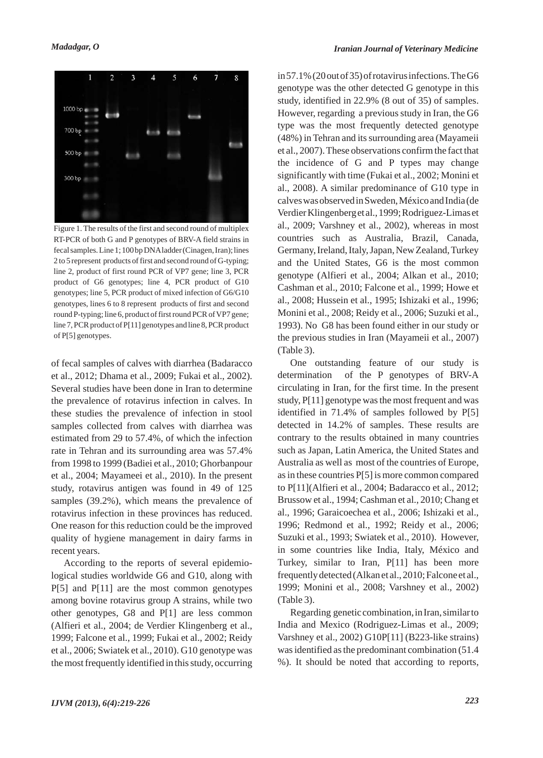

Figure 1. The results of the first and second round of multiplex RT-PCR of both G and P genotypes of BRV-A field strains in fecal samples. Line 1; 100 bp DNAladder (Cinagen, Iran); lines 2 to 5 represent products of first and second round of G-typing; line 2, product of first round PCR of VP7 gene; line 3, PCR product of G6 genotypes; line 4, PCR product of G10 genotypes; line 5, PCR product of mixed infection of G6/G10 genotypes, lines 6 to 8 represent products of first and second round P-typing; line 6, product of first round PCR of VP7 gene; line 7, PCR product of P[11] genotypes and line 8, PCR product of P[5] genotypes.

of fecal samples of calves with diarrhea (Badaracco et al., 2012; Dhama et al., 2009; Fukai et al., 2002). Several studies have been done in Iran to determine the prevalence of rotavirus infection in calves. In these studies the prevalence of infection in stool samples collected from calves with diarrhea was estimated from 29 to 57.4%, of which the infection rate in Tehran and its surrounding area was 57.4% from 1998 to 1999 (Badiei et al., 2010; Ghorbanpour et al., 2004; Mayameei et al., 2010). In the present study, rotavirus antigen was found in 49 of 125 samples (39.2%), which means the prevalence of rotavirus infection in these provinces has reduced. One reason for this reduction could be the improved quality of hygiene management in dairy farms in recent years.

According to the reports of several epidemiological studies worldwide G6 and G10, along with P[5] and P[11] are the most common genotypes among bovine rotavirus group A strains, while two other genotypes, G8 and P[1] are less common (Alfieri et al., 2004; de Verdier Klingenberg et al., 1999; Falcone et al., 1999; Fukai et al., 2002; Reidy et al., 2006; Swiatek et al., 2010). G10 genotype was the most frequently identified in this study, occurring in 57.1% (20 out of 35) of rotavirus infections. The G6 genotype was the other detected G genotype in this study, identified in 22.9% (8 out of 35) of samples. However, regarding a previous study in Iran, the G6 type was the most frequently detected genotype (48%) in Tehran and its surrounding area (Mayameii et al., 2007). These observations confirm the fact that the incidence of G and P types may change significantly with time (Fukai et al., 2002; Monini et al., 2008). A similar predominance of G10 type in calves was observed in Sweden, México and India (de Verdier Klingenberg et al., 1999; Rodriguez-Limas et al., 2009; Varshney et al., 2002), whereas in most countries such as Australia, Brazil, Canada, Germany, Ireland, Italy, Japan, New Zealand, Turkey and the United States, G6 is the most common genotype (Alfieri et al., 2004; Alkan et al., 2010; Cashman et al., 2010; Falcone et al., 1999; Howe et al., 2008; Hussein et al., 1995; Ishizaki et al., 1996; Monini et al., 2008; Reidy et al., 2006; Suzuki et al., 1993). No G8 has been found either in our study or the previous studies in Iran (Mayameii et al., 2007) (Table 3).

One outstanding feature of our study is determination of the P genotypes of BRV-A circulating in Iran, for the first time. In the present study, P[11] genotype was the most frequent and was identified in 71.4% of samples followed by P[5] detected in 14.2% of samples. These results are contrary to the results obtained in many countries such as Japan, Latin America, the United States and Australia as well as most of the countries of Europe, as in these countries P[5] is more common compared to P[11](Alfieri et al., 2004; Badaracco et al., 2012; Brussow et al., 1994; Cashman et al., 2010; Chang et al., 1996; Garaicoechea et al., 2006; Ishizaki et al., 1996; Redmond et al., 1992; Reidy et al., 2006; Suzuki et al., 1993; Swiatek et al., 2010). However, in some countries like India, Italy, México and Turkey, similar to Iran, P[11] has been more frequently detected (Alkan et al., 2010; Falcone et al., 1999; Monini et al., 2008; Varshney et al., 2002) (Table 3).

Regarding genetic combination, in Iran, similar to India and Mexico (Rodriguez-Limas et al., 2009; Varshney et al., 2002) G10P[11] (B223-like strains) was identified as the predominant combination (51.4 %). It should be noted that according to reports,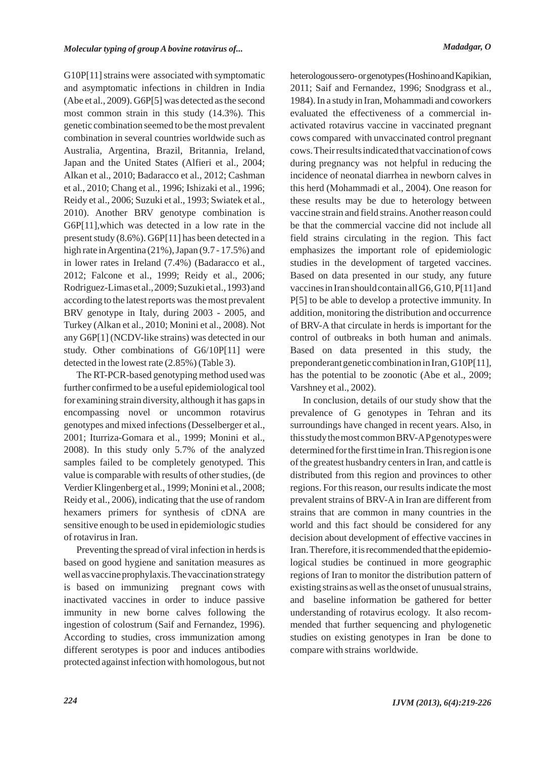G10P[11] strains were associated with symptomatic and asymptomatic infections in children in India (Abe et al., 2009). G6P[5] was detected as the second most common strain in this study (14.3%). This genetic combination seemed to be the most prevalent combination in several countries worldwide such as Australia, Argentina, Brazil, Britannia, Ireland, Japan and the United States (Alfieri et al., 2004; Alkan et al., 2010; Badaracco et al., 2012; Cashman et al., 2010; Chang et al., 1996; Ishizaki et al., 1996; Reidy et al., 2006; Suzuki et al., 1993; Swiatek et al., 2010). Another BRV genotype combination is G6P[11],which was detected in a low rate in the present study (8.6%). G6P[11] has been detected in a high rate in Argentina (21%), Japan (9.7 - 17.5%) and in lower rates in Ireland (7.4%) (Badaracco et al., 2012; Falcone et al., 1999; Reidy et al., 2006; Rodriguez-Limas et al., 2009; Suzuki et al., 1993) and according to the latest reports was the most prevalent BRV genotype in Italy, during 2003 - 2005, and Turkey (Alkan et al., 2010; Monini et al., 2008). Not any G6P[1] (NCDV-like strains) was detected in our study. Other combinations of G6/10P[11] were detected in the lowest rate (2.85%) (Table 3).

The RT-PCR-based genotyping method used was further confirmed to be a useful epidemiological tool for examining strain diversity, although it has gaps in encompassing novel or uncommon rotavirus genotypes and mixed infections (Desselberger et al., 2001; Iturriza-Gomara et al., 1999; Monini et al., 2008). In this study only 5.7% of the analyzed samples failed to be completely genotyped. This value is comparable with results of other studies, (de Verdier Klingenberg et al., 1999; Monini et al., 2008; Reidy et al., 2006), indicating that the use of random hexamers primers for synthesis of cDNA are sensitive enough to be used in epidemiologic studies of rotavirus in Iran.

Preventing the spread of viral infection in herds is based on good hygiene and sanitation measures as well as vaccine prophylaxis. The vaccination strategy is based on immunizing pregnant cows with inactivated vaccines in order to induce passive immunity in new borne calves following the ingestion of colostrum (Saif and Fernandez, 1996). According to studies, cross immunization among different serotypes is poor and induces antibodies protected against infection with homologous, but not heterologous sero- or genotypes (Hoshino and Kapikian, 2011; Saif and Fernandez, 1996; Snodgrass et al., 1984). In a study in Iran, Mohammadi and coworkers evaluated the effectiveness of a commercial inactivated rotavirus vaccine in vaccinated pregnant cows compared with unvaccinated control pregnant cows. Their results indicated that vaccination of cows during pregnancy was not helpful in reducing the incidence of neonatal diarrhea in newborn calves in this herd (Mohammadi et al., 2004). One reason for these results may be due to heterology between vaccine strain and field strains. Another reason could be that the commercial vaccine did not include all field strains circulating in the region. This fact emphasizes the important role of epidemiologic studies in the development of targeted vaccines. Based on data presented in our study, any future vaccines in Iran should contain all G6, G10, P[11] and P[5] to be able to develop a protective immunity. In addition, monitoring the distribution and occurrence of BRV-A that circulate in herds is important for the control of outbreaks in both human and animals. Based on data presented in this study, the preponderant genetic combination in Iran, G10P[11], has the potential to be zoonotic (Abe et al., 2009; Varshney et al., 2002).

In conclusion, details of our study show that the prevalence of G genotypes in Tehran and its surroundings have changed in recent years. Also, in this study the most common BRV-APgenotypes were determined for the first time in Iran. This region is one of the greatest husbandry centers in Iran, and cattle is distributed from this region and provinces to other regions. For this reason, our results indicate the most prevalent strains of BRV-A in Iran are different from strains that are common in many countries in the world and this fact should be considered for any decision about development of effective vaccines in Iran. Therefore, it is recommended that the epidemiological studies be continued in more geographic regions of Iran to monitor the distribution pattern of existing strains as well as the onset of unusual strains, and baseline information be gathered for better understanding of rotavirus ecology. It also recommended that further sequencing and phylogenetic studies on existing genotypes in Iran be done to compare with strains worldwide.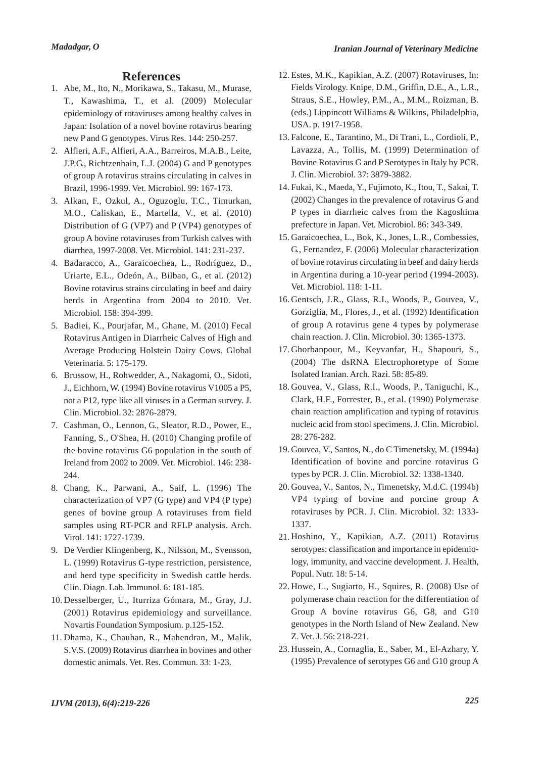### **References**

- Abe, M., Ito, N., Morikawa, S., Takasu, M., Murase, 1. T., Kawashima, T., et al. (2009) Molecular epidemiology of rotaviruses among healthy calves in Japan: Isolation of a novel bovine rotavirus bearing new P and G genotypes. Virus Res. 144: 250-257.
- Alfieri, A.F., Alfieri, A.A., Barreiros, M.A.B., Leite, 2. J.P.G., Richtzenhain, L.J. (2004) G and P genotypes of group A rotavirus strains circulating in calves in Brazil, 1996-1999. Vet. Microbiol. 99: 167-173.
- Alkan, F., Ozkul, A., Oguzoglu, T.C., Timurkan, 3. M.O., Caliskan, E., Martella, V., et al. (2010) Distribution of G (VP7) and P (VP4) genotypes of group A bovine rotaviruses from Turkish calves with diarrhea, 1997-2008. Vet. Microbiol. 141: 231-237.
- Badaracco, A., Garaicoechea, L., Rodríguez, D., 4. Uriarte, E.L., Odeón, A., Bilbao, G., et al. (2012) Bovine rotavirus strains circulating in beef and dairy herds in Argentina from 2004 to 2010. Vet. Microbiol. 158: 394-399.
- 5. Badiei, K., Pourjafar, M., Ghane, M. (2010) Fecal Rotavirus Antigen in Diarrheic Calves of High and Average Producing Holstein Dairy Cows. Global Veterinaria. 5: 175-179.
- Brussow, H., Rohwedder, A., Nakagomi, O., Sidoti, 6. J., Eichhorn, W. (1994) Bovine rotavirus V1005 a P5, not a P12, type like all viruses in a German survey. J. Clin. Microbiol. 32: 2876-2879.
- 7. Cashman, O., Lennon, G., Sleator, R.D., Power, E., Fanning, S., O'Shea, H. (2010) Changing profile of the bovine rotavirus G6 population in the south of Ireland from 2002 to 2009. Vet. Microbiol. 146: 238- 244.
- Chang, K., Parwani, A., Saif, L. (1996) The 8. characterization of VP7 (G type) and VP4 (P type) genes of bovine group A rotaviruses from field samples using RT-PCR and RFLP analysis. Arch. Virol. 141: 1727-1739.
- De Verdier Klingenberg, K., Nilsson, M., Svensson, 9. L. (1999) Rotavirus G-type restriction, persistence, and herd type specificity in Swedish cattle herds. Clin. Diagn. Lab. Immunol. 6: 181-185.
- 10. Desselberger, U., Iturriza Gómara, M., Gray, J.J. (2001) Rotavirus epidemiology and surveillance. Novartis Foundation Symposium. p.125-152.
- 11. Dhama, K., Chauhan, R., Mahendran, M., Malik, S.V.S. (2009) Rotavirus diarrhea in bovines and other domestic animals. Vet. Res. Commun. 33: 1-23.
- Estes, M.K., Kapikian, A.Z. (2007) Rotaviruses, In: 12. Fields Virology. Knipe, D.M., Griffin, D.E., A., L.R., Straus, S.E., Howley, P.M., A., M.M., Roizman, B. (eds.) Lippincott Williams & Wilkins, Philadelphia, USA. p. 1917-1958.
- Falcone, E., Tarantino, M., Di Trani, L., Cordioli, P., 13. Lavazza, A., Tollis, M. (1999) Determination of Bovine Rotavirus G and P Serotypes in Italy by PCR. J. Clin. Microbiol. 37: 3879-3882.
- Fukai, K., Maeda, Y., Fujimoto, K., Itou, T., Sakai, T. 14. (2002) Changes in the prevalence of rotavirus G and P types in diarrheic calves from the Kagoshima prefecture in Japan. Vet. Microbiol. 86: 343-349.
- 15. Garaicoechea, L., Bok, K., Jones, L.R., Combessies, G., Fernandez, F. (2006) Molecular characterization of bovine rotavirus circulating in beef and dairy herds in Argentina during a 10-year period (1994-2003). Vet. Microbiol. 118: 1-11.
- 16. Gentsch, J.R., Glass, R.I., Woods, P., Gouvea, V., Gorziglia, M., Flores, J., et al. (1992) Identification of group A rotavirus gene 4 types by polymerase chain reaction. J. Clin. Microbiol. 30: 1365-1373.
- Ghorbanpour, M., Keyvanfar, H., Shapouri, S., 17. (2004) The dsRNA Electrophoretype of Some Isolated Iranian. Arch. Razi. 58: 85-89.
- 18. Gouvea, V., Glass, R.I., Woods, P., Taniguchi, K., Clark, H.F., Forrester, B., et al. (1990) Polymerase chain reaction amplification and typing of rotavirus nucleic acid from stool specimens. J. Clin. Microbiol. 28: 276-282.
- Gouvea, V., Santos, N., do C Timenetsky, M. (1994a) 19. Identification of bovine and porcine rotavirus G types by PCR. J. Clin. Microbiol. 32: 1338-1340.
- Gouvea, V., Santos, N., Timenetsky, M.d.C. (1994b) 20. VP4 typing of bovine and porcine group A rotaviruses by PCR. J. Clin. Microbiol. 32: 1333- 1337.
- 21. Hoshino, Y., Kapikian, A.Z. (2011) Rotavirus serotypes: classification and importance in epidemiology, immunity, and vaccine development. J. Health, Popul. Nutr. 18: 5-14.
- 22. Howe, L., Sugiarto, H., Squires, R. (2008) Use of polymerase chain reaction for the differentiation of Group A bovine rotavirus G6, G8, and G10 genotypes in the North Island of New Zealand. New Z. Vet. J. 56: 218-221.
- 23. Hussein, A., Cornaglia, E., Saber, M., El-Azhary, Y. (1995) Prevalence of serotypes G6 and G10 group A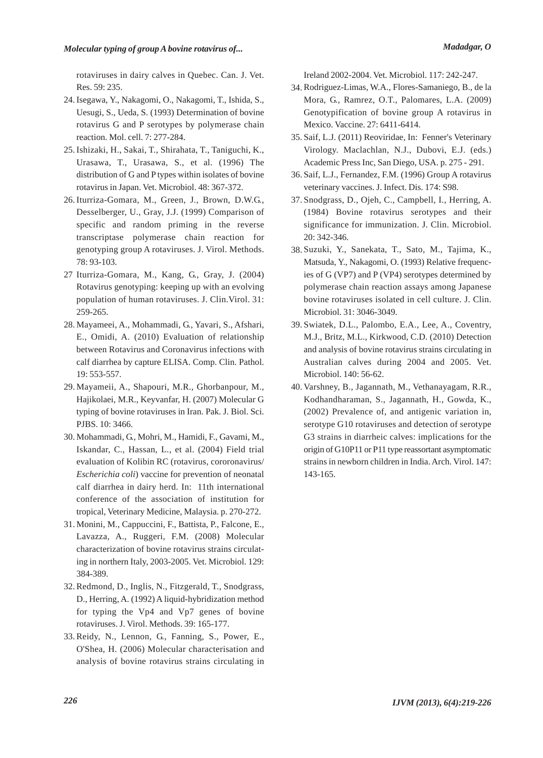rotaviruses in dairy calves in Quebec. Can. J. Vet. Res. 59: 235.

- 24. Isegawa, Y., Nakagomi, O., Nakagomi, T., Ishida, S., Uesugi, S., Ueda, S. (1993) Determination of bovine rotavirus G and P serotypes by polymerase chain reaction. Mol. cell. 7: 277-284.
- 25. Ishizaki, H., Sakai, T., Shirahata, T., Taniguchi, K., Urasawa, T., Urasawa, S., et al. (1996) The distribution of G and P types within isolates of bovine rotavirus in Japan. Vet. Microbiol. 48: 367-372.
- 26. Iturriza-Gomara, M., Green, J., Brown, D.W.G., Desselberger, U., Gray, J.J. (1999) Comparison of specific and random priming in the reverse transcriptase polymerase chain reaction for genotyping group A rotaviruses. J. Virol. Methods. 78: 93-103.
- Iturriza-Gomara, M., Kang, G., Gray, J. (2004) 27 Rotavirus genotyping: keeping up with an evolving population of human rotaviruses. J. Clin.Virol. 31: 259-265.
- 28. Mayameei, A., Mohammadi, G., Yavari, S., Afshari, E., Omidi, A. (2010) Evaluation of relationship between Rotavirus and Coronavirus infections with calf diarrhea by capture ELISA. Comp. Clin. Pathol. 19: 553-557.
- 29. Mayameii, A., Shapouri, M.R., Ghorbanpour, M., Hajikolaei, M.R., Keyvanfar, H. (2007) Molecular G typing of bovine rotaviruses in Iran. Pak. J. Biol. Sci. PJBS. 10: 3466.
- Mohammadi, G., Mohri, M., Hamidi, F., Gavami, M., 30. Iskandar, C., Hassan, L., et al. (2004) Field trial evaluation of Kolibin RC (rotavirus, cororonavirus/ *Escherichia coli*) vaccine for prevention of neonatal calf diarrhea in dairy herd. In: 11th international conference of the association of institution for tropical, Veterinary Medicine, Malaysia. p. 270-272.
- Monini, M., Cappuccini, F., Battista, P., Falcone, E., 31. Lavazza, A., Ruggeri, F.M. (2008) Molecular characterization of bovine rotavirus strains circulating in northern Italy, 2003-2005. Vet. Microbiol. 129: 384-389.
- 32. Redmond, D., Inglis, N., Fitzgerald, T., Snodgrass, D., Herring, A. (1992) A liquid-hybridization method for typing the Vp4 and Vp7 genes of bovine rotaviruses. J. Virol. Methods. 39: 165-177.
- 33. Reidy, N., Lennon, G., Fanning, S., Power, E., O'Shea, H. (2006) Molecular characterisation and analysis of bovine rotavirus strains circulating in

Ireland 2002-2004. Vet. Microbiol. 117: 242-247.

- Rodriguez-Limas, W.A., Flores-Samaniego, B., de la 34. Mora, G., Ramrez, O.T., Palomares, L.A. (2009) Genotypification of bovine group A rotavirus in Mexico. Vaccine. 27: 6411-6414.
- 35. Saif, L.J. (2011) Reoviridae, In: Fenner's Veterinary Virology. Maclachlan, N.J., Dubovi, E.J. (eds.) Academic Press Inc, San Diego, USA. p. 275 - 291.
- Saif, L.J., Fernandez, F.M. (1996) Group A rotavirus 36. veterinary vaccines. J. Infect. Dis. 174: S98.
- Snodgrass, D., Ojeh, C., Campbell, I., Herring, A. 37. (1984) Bovine rotavirus serotypes and their significance for immunization. J. Clin. Microbiol. 20: 342-346.
- Suzuki, Y., Sanekata, T., Sato, M., Tajima, K., 38. Matsuda, Y., Nakagomi, O. (1993) Relative frequencies of G (VP7) and P (VP4) serotypes determined by polymerase chain reaction assays among Japanese bovine rotaviruses isolated in cell culture. J. Clin. Microbiol. 31: 3046-3049.
- Swiatek, D.L., Palombo, E.A., Lee, A., Coventry, 39. M.J., Britz, M.L., Kirkwood, C.D. (2010) Detection and analysis of bovine rotavirus strains circulating in Australian calves during 2004 and 2005. Vet. Microbiol. 140: 56-62.
- 40. Varshney, B., Jagannath, M., Vethanayagam, R.R., Kodhandharaman, S., Jagannath, H., Gowda, K., (2002) Prevalence of, and antigenic variation in, serotype G10 rotaviruses and detection of serotype G3 strains in diarrheic calves: implications for the origin of G10P11 or P11 type reassortant asymptomatic strains in newborn children in India. Arch. Virol. 147: 143-165.